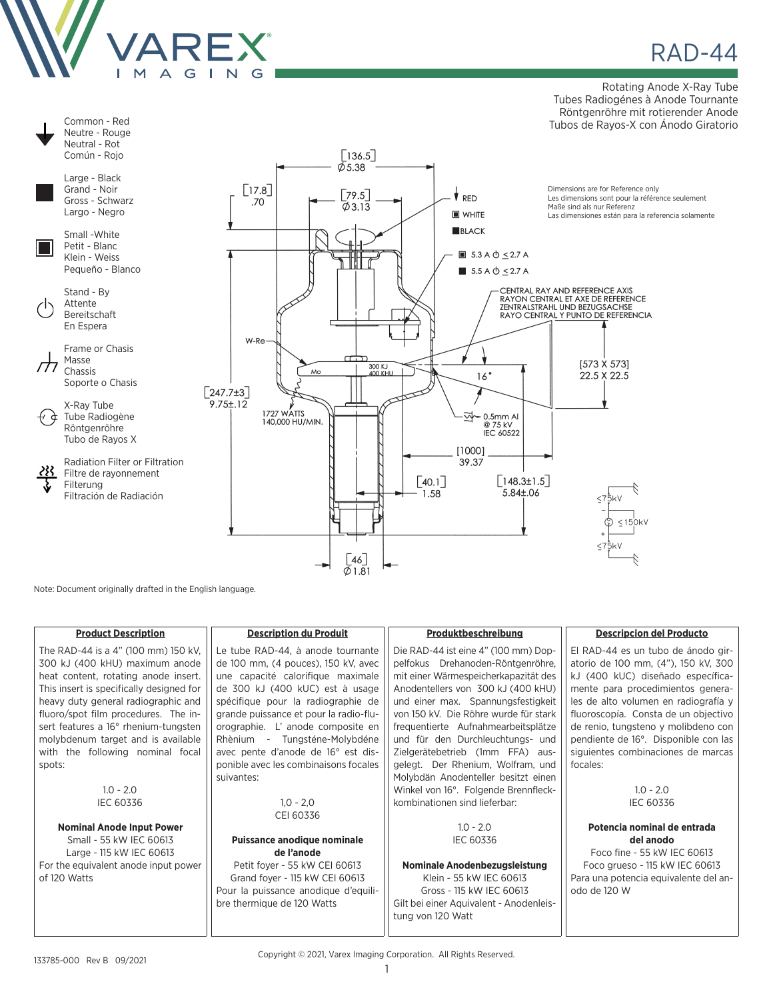

Common - Red

**RAD-44** 

Rotating Anode X-Ray Tube Tubes Radiogénes à Anode Tournante Röntgenröhre mit rotierender Anode Tubos de Rayos-X con Ánodo Giratorio



Note: Document originally drafted in the English language.

| <b>Product Description</b>               | <b>Description du Produit</b>          | Produktbeschreibung                     | <b>Descripcion del Producto</b>       |
|------------------------------------------|----------------------------------------|-----------------------------------------|---------------------------------------|
| The RAD-44 is a 4" (100 mm) 150 kV.      | Le tube RAD-44, à anode tournante      | Die RAD-44 ist eine 4" (100 mm) Dop-    | El RAD-44 es un tubo de ánodo gir-    |
| 300 kJ (400 kHU) maximum anode           | de 100 mm, (4 pouces), 150 kV, avec    | pelfokus Drehanoden-Röntgenröhre,       | atorio de 100 mm, (4"), 150 kV, 300   |
| heat content, rotating anode insert.     | une capacité calorifique maximale      | mit einer Wärmespeicherkapazität des    | kJ (400 kUC) diseñado específica-     |
| This insert is specifically designed for | de 300 kJ (400 kUC) est à usage        | Anodentellers von 300 kJ (400 kHU)      | mente para procedimientos genera-     |
| heavy duty general radiographic and      | spécifique pour la radiographie de     | und einer max. Spannungsfestigkeit      | les de alto volumen en radiografía y  |
| fluoro/spot film procedures. The in-     | grande puissance et pour la radio-flu- | von 150 kV. Die Röhre wurde für stark   | fluoroscopía. Consta de un objectivo  |
| sert features a 16° rhenium-tungsten     | orographie. L' anode composite en      | frequentierte Aufnahmearbeitsplätze     | de renio, tungsteno y molibdeno con   |
| molybdenum target and is available       | Rhènium - Tungsténe-Molybdéne          | und für den Durchleuchtungs- und        | pendiente de 16°. Disponible con las  |
| with the following nominal focal         | avec pente d'anode de 16° est dis-     | Zielgerätebetrieb (1mm FFA) aus-        | siguientes combinaciones de marcas    |
| spots:                                   | ponible avec les combinaisons focales  | gelegt. Der Rhenium, Wolfram, und       | focales:                              |
|                                          | suivantes:                             | Molybdän Anodenteller besitzt einen     |                                       |
| $1.0 - 2.0$                              |                                        | Winkel von 16°. Folgende Brennfleck-    | $1.0 - 2.0$                           |
| <b>IEC 60336</b>                         | $1,0 - 2,0$                            | kombinationen sind lieferbar:           | IEC 60336                             |
|                                          | CEI 60336                              |                                         |                                       |
| <b>Nominal Anode Input Power</b>         |                                        | $1.0 - 2.0$                             | Potencia nominal de entrada           |
| Small - 55 kW IEC 60613                  | <b>Puissance anodique nominale</b>     | <b>IEC 60336</b>                        | del anodo                             |
| Large - 115 kW IEC 60613                 | de l'anode                             |                                         | Foco fine - 55 kW IEC 60613           |
| For the equivalent anode input power     | Petit foyer - 55 kW CEI 60613          | Nominale Anodenbezugsleistung           | Foco grueso - 115 kW IEC 60613        |
| of 120 Watts                             | Grand foyer - 115 kW CEI 60613         | Klein - 55 kW IEC 60613                 | Para una potencia equivalente del an- |
|                                          | Pour la puissance anodique d'equili-   | Gross - 115 kW IEC 60613                | odo de 120 W                          |
|                                          | bre thermique de 120 Watts             | Gilt bei einer Aquivalent - Anodenleis- |                                       |
|                                          |                                        | tung von 120 Watt                       |                                       |
|                                          |                                        |                                         |                                       |

Copyright © 2021, Varex Imaging Corporation. All Rights Reserved.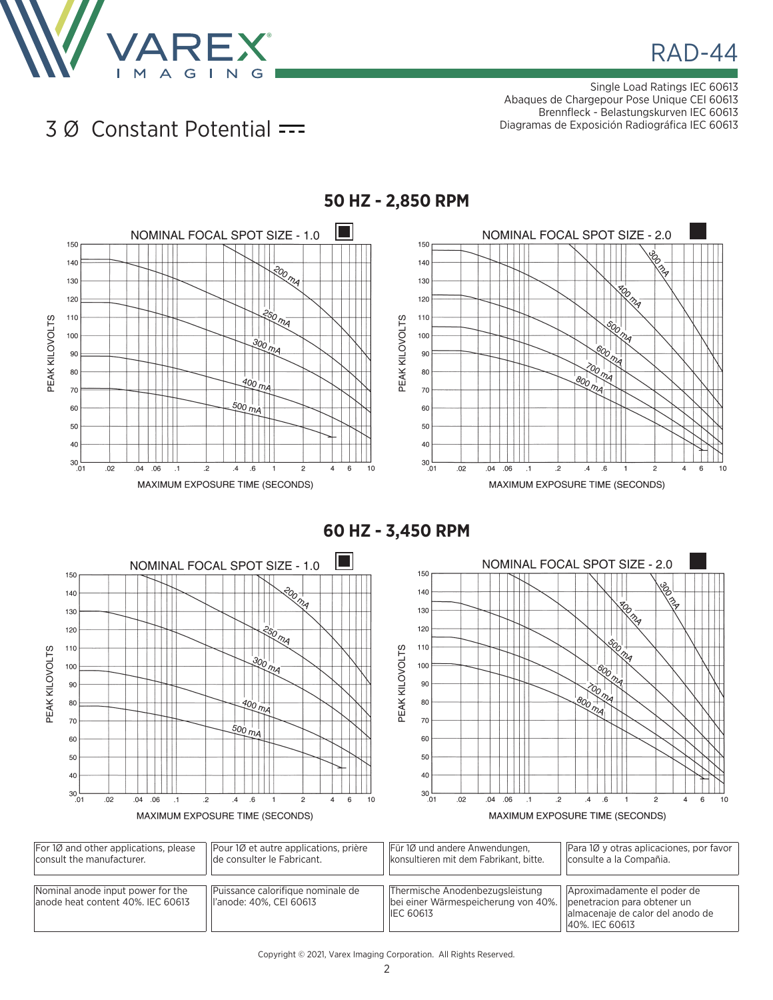

# **RAD-44**

Single Load Ratings IEC 60613 Abaques de Chargepour Pose Unique CEI 60613 Brennfleck - Belastungskurven IEC 60613 Diagramas de Exposición Radiográfica IEC 60613

#### 3 Ø Constant Potential



**60 HZ - 3,450 RPM**



| For 10 and other applications, please                                   | Pour 10 et autre applications, prière                         | Für 1Ø und andere Anwendungen,                                                                                           | Para 10 y otras aplicaciones, por favor                                           |
|-------------------------------------------------------------------------|---------------------------------------------------------------|--------------------------------------------------------------------------------------------------------------------------|-----------------------------------------------------------------------------------|
| consult the manufacturer.                                               | de consulter le Fabricant.                                    | konsultieren mit dem Fabrikant, bitte.                                                                                   | consulte a la Compañia.                                                           |
| Nominal anode input power for the<br>lanode heat content 40%. IEC 60613 | Puissance calorifique nominale de<br>ll'anode: 40%, CEI 60613 | Thermische Anodenbezugsleistung<br>bei einer Wärmespeicherung von 40%.   penetracion para obtener un<br><b>IEC 60613</b> | Aproximadamente el poder de<br>almacenaje de calor del anodo de<br>40%, IEC 60613 |

#### **50 HZ - 2,850 RPM**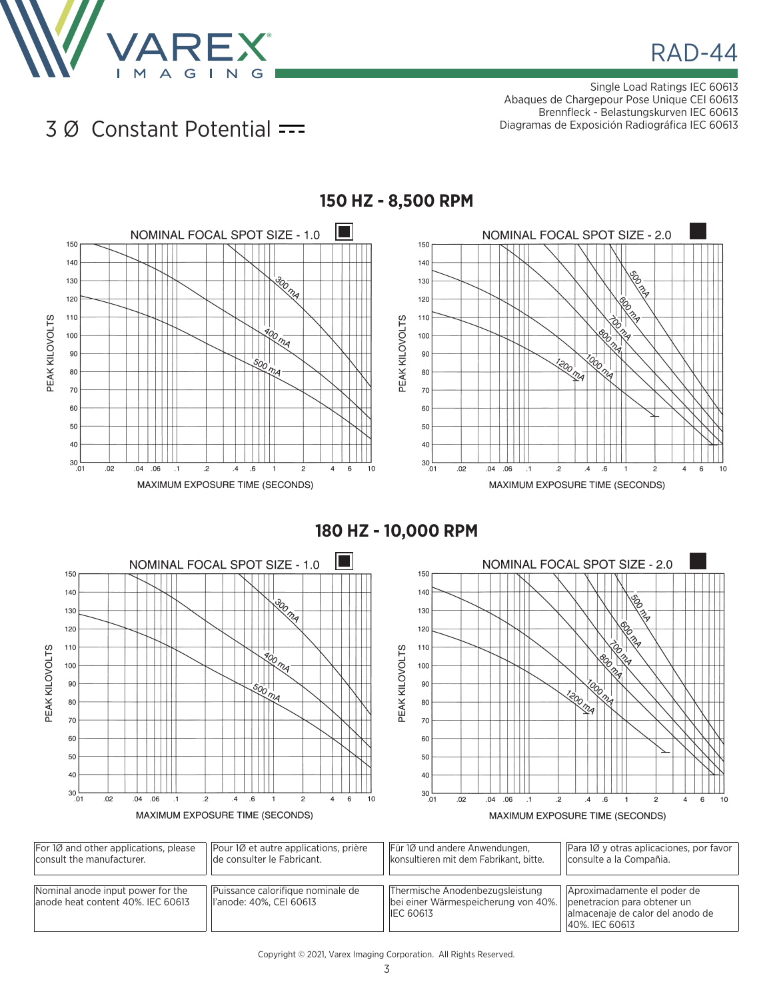

# **RAD-44**

Single Load Ratings IEC 60613 Abaques de Chargepour Pose Unique CEI 60613 Brennfleck - Belastungskurven IEC 60613 Diagramas de Exposición Radiográfica IEC 60613

#### 3 Ø Constant Potential



**150 HZ - 8,500 RPM**

**180 HZ - 10,000 RPM**



| $ For 1Ø$ and other applications, please                                | Pour 10 et autre applications, prière                         | Für 1Ø und andere Anwendungen.                                                             | Para 10 y otras aplicaciones, por favor                                                                          |
|-------------------------------------------------------------------------|---------------------------------------------------------------|--------------------------------------------------------------------------------------------|------------------------------------------------------------------------------------------------------------------|
| consult the manufacturer.                                               | de consulter le Fabricant.                                    | konsultieren mit dem Fabrikant, bitte.                                                     | consulte a la Compañia.                                                                                          |
| Nominal anode input power for the<br>lanode heat content 40%. IEC 60613 | Puissance calorifique nominale de<br>ll'anode: 40%, CEI 60613 | Thermische Anodenbezugsleistung<br>bei einer Wärmespeicherung von 40%.<br><b>IEC 60613</b> | Aproximadamente el poder de<br>penetracion para obtener un<br>almacenaie de calor del anodo de<br>40%, IEC 60613 |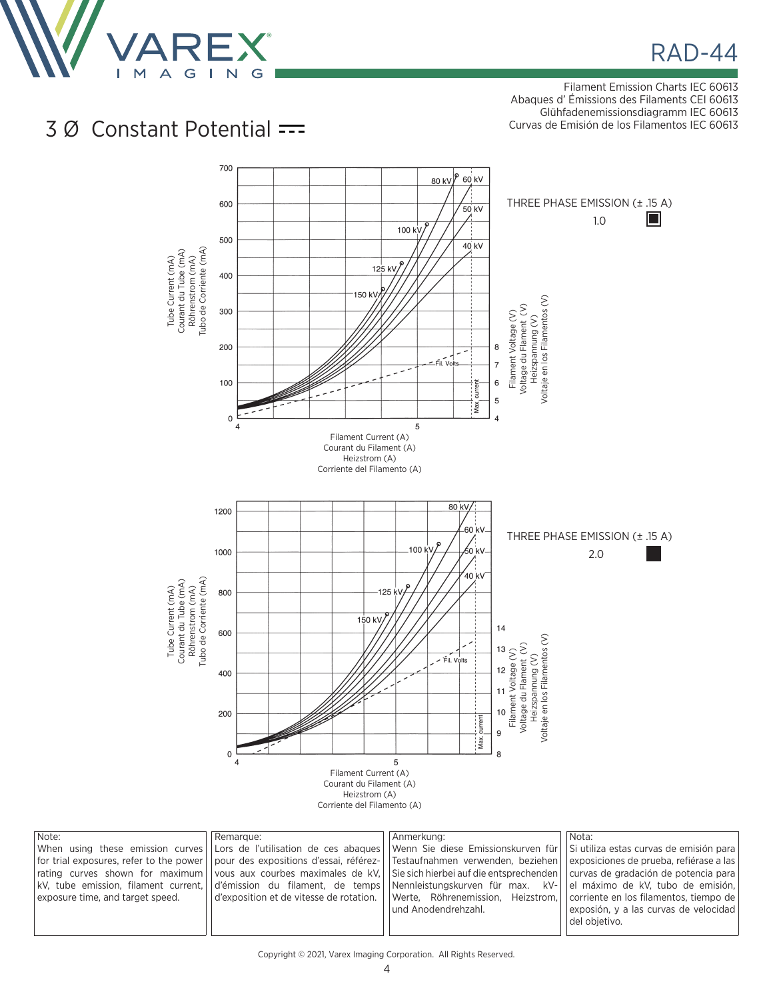

# **RAD-44**

Filament Emission Charts IEC 60613 Abaques d' Émissions des Filaments CEI 60613 Glühfadenemissionsdiagramm IEC 60613 Curvas de Emisión de los Filamentos IEC 60613

### 3 Ø Constant Potential



| Note:                            | l Remarque:                                                                                                                                       | Anmerkung:           | Nota:                                   |
|----------------------------------|---------------------------------------------------------------------------------------------------------------------------------------------------|----------------------|-----------------------------------------|
|                                  | When using these emission curves Lors de l'utilisation de ces abagues Uwenn Sie diese Emissionskurven für US utiliza estas curvas de emisión para |                      |                                         |
|                                  | for trial exposures, refer to the power     pour des expositions d'essai, référez-     Testaufnahmen verwenden, beziehen                          |                      | exposiciones de prueba, refiérase a las |
|                                  | rating curves shown for maximum vous aux courbes maximales de kV. Sie sich hierbei auf die entsprechenden curvas de gradación de potencia para    |                      |                                         |
|                                  | kV, tube emission, filament current, d'emission du filament, de temps Nennleistungskurven für max. kV- de maximo de kV, tubo de emisión,          |                      |                                         |
| exposure time, and target speed. | d'exposition et de vitesse de rotation.   Werte, Röhrenemission, Heizstrom,   corriente en los filamentos, tiempo de                              |                      |                                         |
|                                  |                                                                                                                                                   | lund Anodendrehzahl. | exposión, y a las curvas de velocidad   |
|                                  |                                                                                                                                                   |                      | del obietivo.                           |
|                                  |                                                                                                                                                   |                      |                                         |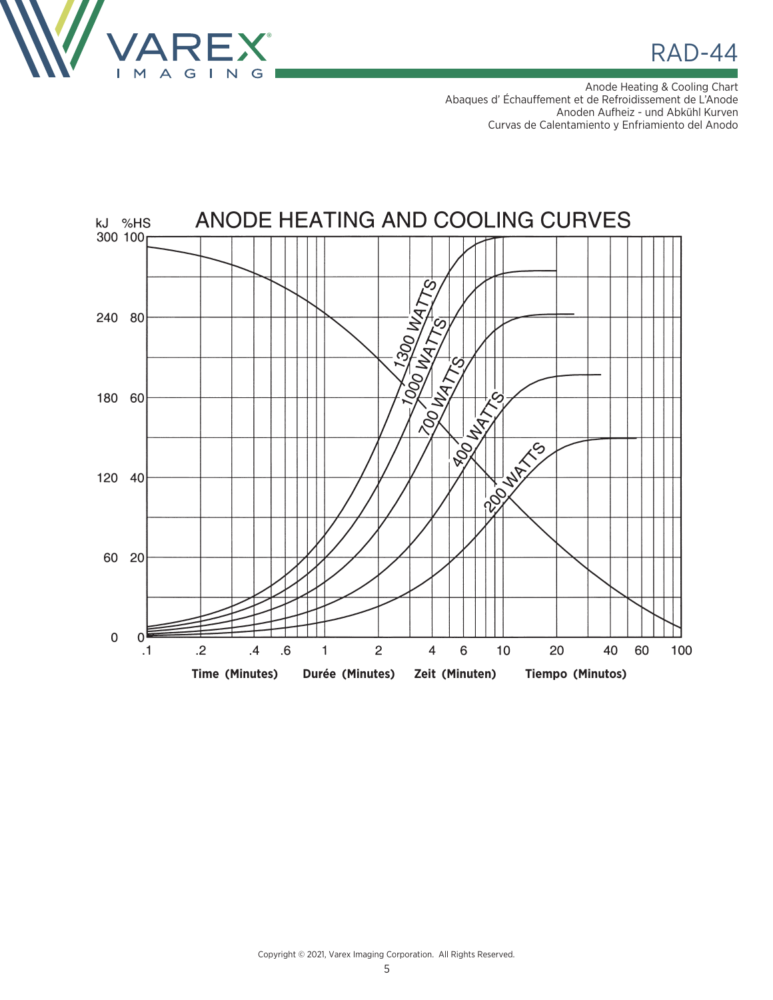

 $RAD-44$ 

Anode Heating & Cooling Chart Abaques d' Échauffement et de Refroidissement de L'Anode Anoden Aufheiz - und Abkühl Kurven Curvas de Calentamiento y Enfriamiento del Anodo